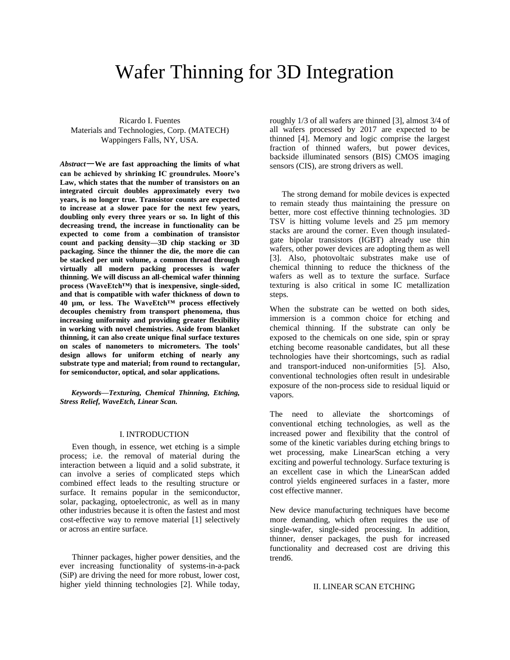# Wafer Thinning for 3D Integration

Ricardo I. Fuentes Materials and Technologies, Corp. (MATECH) Wappingers Falls, NY, USA.

*Abstract*—**We are fast approaching the limits of what can be achieved by shrinking IC groundrules. Moore's Law, which states that the number of transistors on an integrated circuit doubles approximately every two years, is no longer true. Transistor counts are expected to increase at a slower pace for the next few years, doubling only every three years or so. In light of this decreasing trend, the increase in functionality can be expected to come from a combination of transistor count and packing density—3D chip stacking or 3D packaging. Since the thinner the die, the more die can be stacked per unit volume, a common thread through virtually all modern packing processes is wafer thinning. We will discuss an all-chemical wafer thinning process (WaveEtch™) that is inexpensive, single-sided, and that is compatible with wafer thickness of down to 40 µm, or less. The WaveEtch™ process effectively decouples chemistry from transport phenomena, thus increasing uniformity and providing greater flexibility in working with novel chemistries. Aside from blanket thinning, it can also create unique final surface textures on scales of nanometers to micrometers. The tools' design allows for uniform etching of nearly any substrate type and material; from round to rectangular, for semiconductor, optical, and solar applications.**

*Keywords—Texturing, Chemical Thinning, Etching, Stress Relief, WaveEtch, Linear Scan.*

#### I. INTRODUCTION

Even though, in essence, wet etching is a simple process; i.e. the removal of material during the interaction between a liquid and a solid substrate, it can involve a series of complicated steps which combined effect leads to the resulting structure or surface. It remains popular in the semiconductor, solar, packaging, optoelectronic, as well as in many other industries because it is often the fastest and most cost-effective way to remove material [1] selectively or across an entire surface.

Thinner packages, higher power densities, and the ever increasing functionality of systems-in-a-pack (SiP) are driving the need for more robust, lower cost, higher yield thinning technologies [2]. While today, roughly 1/3 of all wafers are thinned [3], almost 3/4 of all wafers processed by 2017 are expected to be thinned [4]. Memory and logic comprise the largest fraction of thinned wafers, but power devices, backside illuminated sensors (BIS) CMOS imaging sensors (CIS), are strong drivers as well.

The strong demand for mobile devices is expected to remain steady thus maintaining the pressure on better, more cost effective thinning technologies. 3D TSV is hitting volume levels and 25 µm memory stacks are around the corner. Even though insulatedgate bipolar transistors (IGBT) already use thin wafers, other power devices are adopting them as well [3]. Also, photovoltaic substrates make use of chemical thinning to reduce the thickness of the wafers as well as to texture the surface. Surface texturing is also critical in some IC metallization steps.

When the substrate can be wetted on both sides, immersion is a common choice for etching and chemical thinning. If the substrate can only be exposed to the chemicals on one side, spin or spray etching become reasonable candidates, but all these technologies have their shortcomings, such as radial and transport-induced non-uniformities [5]. Also, conventional technologies often result in undesirable exposure of the non-process side to residual liquid or vapors.

The need to alleviate the shortcomings of conventional etching technologies, as well as the increased power and flexibility that the control of some of the kinetic variables during etching brings to wet processing, make LinearScan etching a very exciting and powerful technology. Surface texturing is an excellent case in which the LinearScan added control yields engineered surfaces in a faster, more cost effective manner.

New device manufacturing techniques have become more demanding, which often requires the use of single-wafer, single-sided processing. In addition, thinner, denser packages, the push for increased functionality and decreased cost are driving this trend6.

# II. LINEAR SCAN ETCHING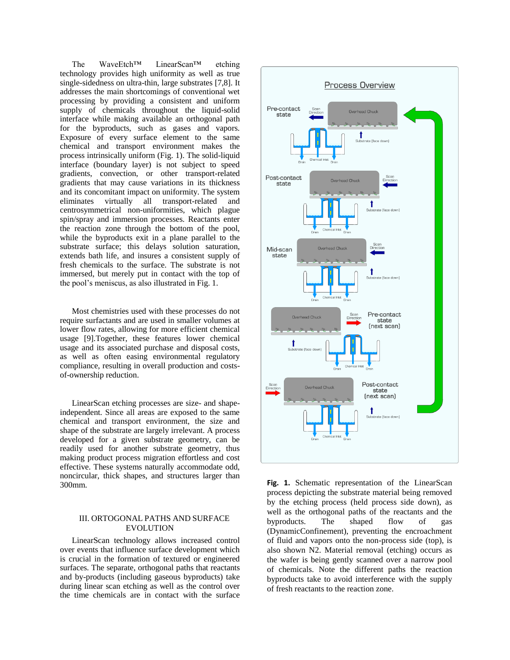The WaveEtch™ LinearScan™ etching technology provides high uniformity as well as true single-sidedness on ultra-thin, large substrates [7,8]. It addresses the main shortcomings of conventional wet processing by providing a consistent and uniform supply of chemicals throughout the liquid-solid interface while making available an orthogonal path for the byproducts, such as gases and vapors. Exposure of every surface element to the same chemical and transport environment makes the process intrinsically uniform (Fig. 1). The solid-liquid interface (boundary layer) is not subject to speed gradients, convection, or other transport-related gradients that may cause variations in its thickness and its concomitant impact on uniformity. The system eliminates virtually all transport-related and centrosymmetrical non-uniformities, which plague spin/spray and immersion processes. Reactants enter the reaction zone through the bottom of the pool, while the byproducts exit in a plane parallel to the substrate surface; this delays solution saturation, extends bath life, and insures a consistent supply of fresh chemicals to the surface. The substrate is not immersed, but merely put in contact with the top of the pool's meniscus, as also illustrated in Fig. 1.

Most chemistries used with these processes do not require surfactants and are used in smaller volumes at lower flow rates, allowing for more efficient chemical usage [9].Together, these features lower chemical usage and its associated purchase and disposal costs, as well as often easing environmental regulatory compliance, resulting in overall production and costsof-ownership reduction.

LinearScan etching processes are size- and shapeindependent. Since all areas are exposed to the same chemical and transport environment, the size and shape of the substrate are largely irrelevant. A process developed for a given substrate geometry, can be readily used for another substrate geometry, thus making product process migration effortless and cost effective. These systems naturally accommodate odd, noncircular, thick shapes, and structures larger than 300mm.

# III. ORTOGONAL PATHS AND SURFACE EVOLUTION

LinearScan technology allows increased control over events that influence surface development which is crucial in the formation of textured or engineered surfaces. The separate, orthogonal paths that reactants and by-products (including gaseous byproducts) take during linear scan etching as well as the control over the time chemicals are in contact with the surface



**Fig. 1.** Schematic representation of the LinearScan process depicting the substrate material being removed by the etching process (held process side down), as well as the orthogonal paths of the reactants and the byproducts. The shaped flow of gas (DynamicConfinement), preventing the encroachment of fluid and vapors onto the non-process side (top), is also shown N2. Material removal (etching) occurs as the wafer is being gently scanned over a narrow pool of chemicals. Note the different paths the reaction byproducts take to avoid interference with the supply of fresh reactants to the reaction zone.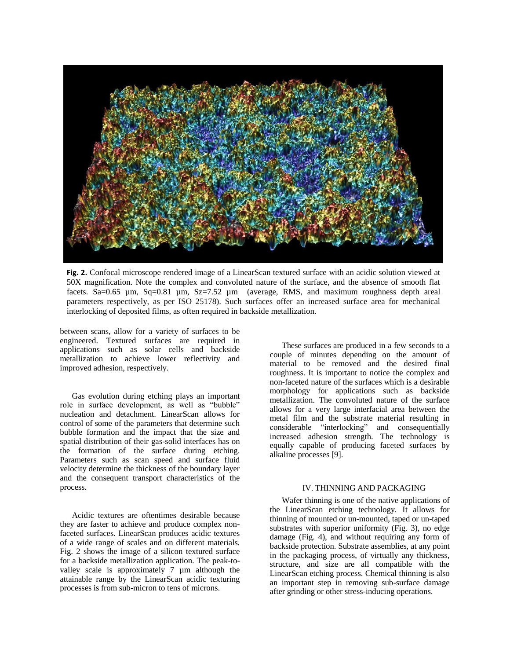

**Fig. 2.** Confocal microscope rendered image of a LinearScan textured surface with an acidic solution viewed at 50X magnification. Note the complex and convoluted nature of the surface, and the absence of smooth flat facets. Sa=0.65  $\mu$ m, Sq=0.81  $\mu$ m, Sz=7.52  $\mu$ m (average, RMS, and maximum roughness depth areal parameters respectively, as per ISO 25178). Such surfaces offer an increased surface area for mechanical interlocking of deposited films, as often required in backside metallization.

between scans, allow for a variety of surfaces to be engineered. Textured surfaces are required in applications such as solar cells and backside metallization to achieve lower reflectivity and improved adhesion, respectively.

Gas evolution during etching plays an important role in surface development, as well as "bubble" nucleation and detachment. LinearScan allows for control of some of the parameters that determine such bubble formation and the impact that the size and spatial distribution of their gas-solid interfaces has on the formation of the surface during etching. Parameters such as scan speed and surface fluid velocity determine the thickness of the boundary layer and the consequent transport characteristics of the process.

Acidic textures are oftentimes desirable because they are faster to achieve and produce complex nonfaceted surfaces. LinearScan produces acidic textures of a wide range of scales and on different materials. Fig. 2 shows the image of a silicon textured surface for a backside metallization application. The peak-tovalley scale is approximately 7 µm although the attainable range by the LinearScan acidic texturing processes is from sub-micron to tens of microns.

These surfaces are produced in a few seconds to a couple of minutes depending on the amount of material to be removed and the desired final roughness. It is important to notice the complex and non-faceted nature of the surfaces which is a desirable morphology for applications such as backside metallization. The convoluted nature of the surface allows for a very large interfacial area between the metal film and the substrate material resulting in considerable "interlocking" and consequentially increased adhesion strength. The technology is equally capable of producing faceted surfaces by alkaline processes [9].

# IV. THINNING AND PACKAGING

Wafer thinning is one of the native applications of the LinearScan etching technology. It allows for thinning of mounted or un-mounted, taped or un-taped substrates with superior uniformity (Fig. 3), no edge damage (Fig. 4), and without requiring any form of backside protection. Substrate assemblies, at any point in the packaging process, of virtually any thickness, structure, and size are all compatible with the LinearScan etching process. Chemical thinning is also an important step in removing sub-surface damage after grinding or other stress-inducing operations.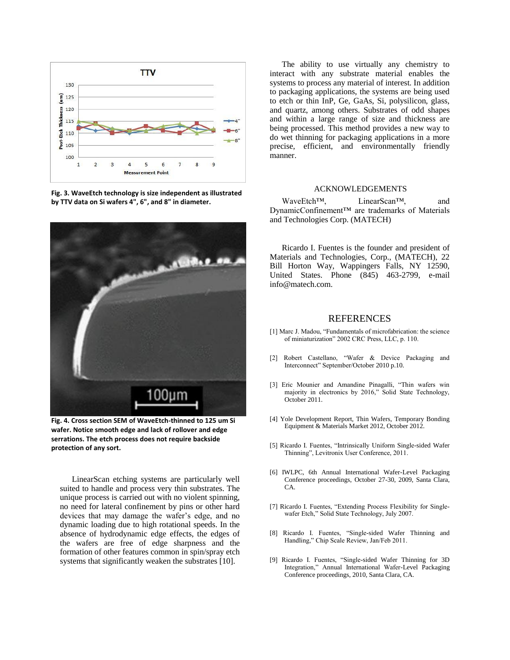

**Fig. 3. WaveEtch technology is size independent as illustrated by TTV data on Si wafers 4", 6", and 8" in diameter.**



**Fig. 4. Cross section SEM of WaveEtch-thinned to 125 um Si wafer. Notice smooth edge and lack of rollover and edge serrations. The etch process does not require backside protection of any sort.**

LinearScan etching systems are particularly well suited to handle and process very thin substrates. The unique process is carried out with no violent spinning, no need for lateral confinement by pins or other hard devices that may damage the wafer's edge, and no dynamic loading due to high rotational speeds. In the absence of hydrodynamic edge effects, the edges of the wafers are free of edge sharpness and the formation of other features common in spin/spray etch systems that significantly weaken the substrates [10].

The ability to use virtually any chemistry to interact with any substrate material enables the systems to process any material of interest. In addition to packaging applications, the systems are being used to etch or thin InP, Ge, GaAs, Si, polysilicon, glass, and quartz, among others. Substrates of odd shapes and within a large range of size and thickness are being processed. This method provides a new way to do wet thinning for packaging applications in a more precise, efficient, and environmentally friendly manner.

### ACKNOWLEDGEMENTS

WaveEtch™, LinearScan™, and DynamicConfinement™ are trademarks of Materials and Technologies Corp. (MATECH)

Ricardo I. Fuentes is the founder and president of Materials and Technologies, Corp., (MATECH), 22 Bill Horton Way, Wappingers Falls, NY 12590, United States. Phone (845) 463-2799, e-mail info@matech.com.

# **REFERENCES**

- [1] Marc J. Madou, "Fundamentals of microfabrication: the science of miniaturization" 2002 CRC Press, LLC, p. 110.
- [2] Robert Castellano, "Wafer & Device Packaging and Interconnect" September/October 2010 p.10.
- [3] Eric Mounier and Amandine Pinagalli, "Thin wafers win majority in electronics by 2016," Solid State Technology, October 2011.
- [4] Yole Development Report, Thin Wafers, Temporary Bonding Equipment & Materials Market 2012, October 2012.
- [5] Ricardo I. Fuentes, "Intrinsically Uniform Single-sided Wafer Thinning", Levitronix User Conference, 2011.
- [6] IWLPC, 6th Annual International Wafer-Level Packaging Conference proceedings, October 27-30, 2009, Santa Clara, CA.
- [7] Ricardo I. Fuentes, "Extending Process Flexibility for Singlewafer Etch," Solid State Technology, July 2007.
- [8] Ricardo I. Fuentes, "Single-sided Wafer Thinning and Handling," Chip Scale Review, Jan/Feb 2011.
- [9] Ricardo I. Fuentes, "Single-sided Wafer Thinning for 3D Integration," Annual International Wafer-Level Packaging Conference proceedings, 2010, Santa Clara, CA.